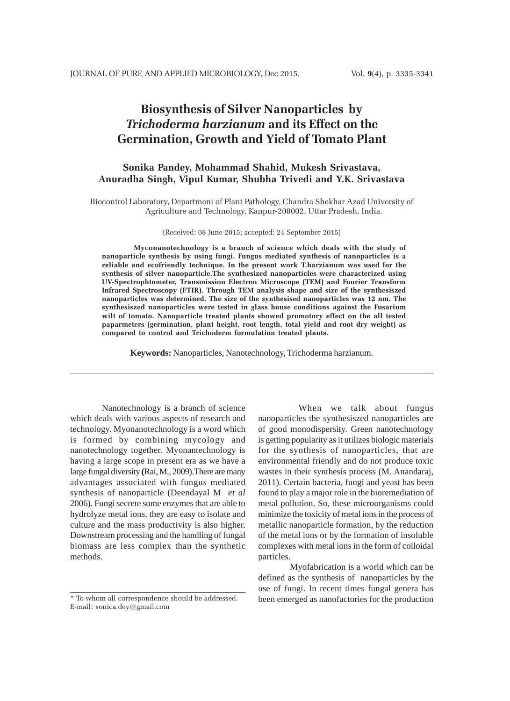# **Biosynthesis of Silver Nanoparticles by** *Trichoderma harzianum* **and its Effect on the Germination, Growth and Yield of Tomato Plant**

# **Sonika Pandey, Mohammad Shahid, Mukesh Srivastava, Anuradha Singh, Vipul Kumar, Shubha Trivedi and Y.K. Srivastava**

Biocontrol Laboratory, Department of Plant Pathology, Chandra Shekhar Azad University of Agriculture and Technology, Kanpur-208002, Uttar Pradesh, India.

(Received: 08 June 2015; accepted: 24 September 2015)

**Myconanotechnology is a branch of science which deals with the study of nanoparticle synthesis by using fungi. Fungus mediated synthesis of nanoparticles is a reliable and ecofriendly technique. In the present work T.harzianum was used for the synthesis of silver nanoparticle.The synthesized nanoparticles were characterized using UV-Spectrophtometer, Transmission Electron Microscope (TEM) and Fourier Transform Infrared Spectroscopy (FTIR). Through TEM analysis shape and size of the synthesiszed nanoparticles was determined. The size of the synthesised nanoparticles was 12 nm. The synthesiszed nanoparticles were tested in glass house conditions against the Fusarium wilt of tomato. Nanoparticle treated plants showed promotory effect on the all tested paparmeters (germination, plant height, root length, total yield and root dry weight) as compared to control and Trichoderm formulation treated plants.**

**Keywords:** Nanoparticles, Nanotechnology, Trichoderma harzianum*.*

Nanotechnology is a branch of science which deals with various aspects of research and technology. Myonanotechnology is a word which is formed by combining mycology and nanotechnology together. Myonantechnology is having a large scope in present era as we have a large fungal diversity **(**Rai, M., 2009).There are many advantages associated with fungus mediated synthesis of nanoparticle (Deendayal M *et al* 2006). Fungi secrete some enzymes that are able to hydrolyze metal ions, they are easy to isolate and culture and the mass productivity is also higher. Downstream processing and the handling of fungal biomass are less complex than the synthetic methods.

 When we talk about fungus nanoparticles the synthesiszed nanoparticles are of good monodispersity. Green nanotechnology is getting popularity as it utilizes biologic materials for the synthesis of nanoparticles, that are environmental friendly and do not produce toxic wastes in their synthesis process (M. Anandaraj, 2011). Certain bacteria, fungi and yeast has been found to play a major role in the bioremediation of metal pollution. So, these microorganisms could minimize the toxicity of metal ions in the process of metallic nanoparticle formation, by the reduction of the metal ions or by the formation of insoluble complexes with metal ions in the form of colloidal particles.

Myofabrication is a world which can be defined as the synthesis of nanoparticles by the use of fungi. In recent times fungal genera has been emerged as nanofactories for the production

<sup>\*</sup> To whom all correspondence should be addressed. E-mail: sonica.dey@gmail.com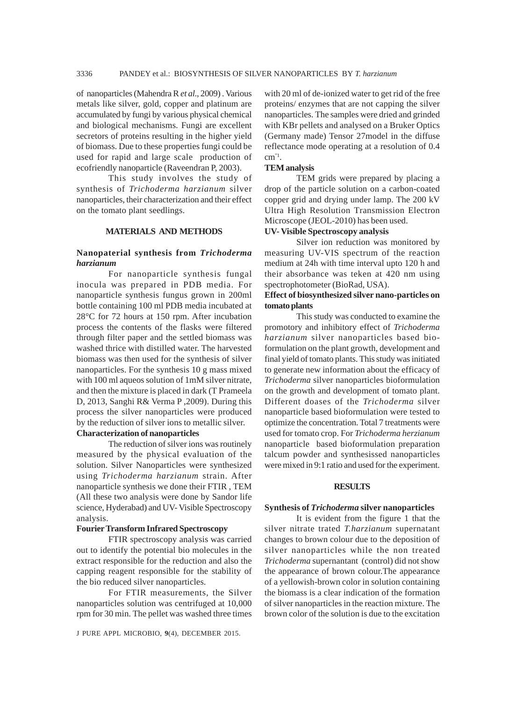of nanoparticles (Mahendra R *et al*., 2009) . Various metals like silver, gold, copper and platinum are accumulated by fungi by various physical chemical and biological mechanisms. Fungi are excellent secretors of proteins resulting in the higher yield of biomass. Due to these properties fungi could be used for rapid and large scale production of ecofriendly nanoparticle (Raveendran P, 2003).

This study involves the study of synthesis of *Trichoderma harzianum* silver nanoparticles, their characterization and their effect on the tomato plant seedlings.

### **MATERIALS AND METHODS**

# **Nanopaterial synthesis from** *Trichoderma harzianum*

For nanoparticle synthesis fungal inocula was prepared in PDB media. For nanoparticle synthesis fungus grown in 200ml bottle containing 100 ml PDB media incubated at 28°C for 72 hours at 150 rpm. After incubation process the contents of the flasks were filtered through filter paper and the settled biomass was washed thrice with distilled water. The harvested biomass was then used for the synthesis of silver nanoparticles. For the synthesis 10 g mass mixed with 100 ml aqueos solution of 1mM silver nitrate, and then the mixture is placed in dark (T Prameela D, 2013, Sanghi R& Verma P ,2009). During this process the silver nanoparticles were produced by the reduction of silver ions to metallic silver.

# **Characterization of nanoparticles**

The reduction of silver ions was routinely measured by the physical evaluation of the solution. Silver Nanoparticles were synthesized using *Trichoderma harzianum* strain. After nanoparticle synthesis we done their FTIR , TEM (All these two analysis were done by Sandor life science, Hyderabad) and UV- Visible Spectroscopy analysis.

#### **Fourier Transform Infrared Spectroscopy**

FTIR spectroscopy analysis was carried out to identify the potential bio molecules in the extract responsible for the reduction and also the capping reagent responsible for the stability of the bio reduced silver nanoparticles.

For FTIR measurements, the Silver nanoparticles solution was centrifuged at 10,000 rpm for 30 min. The pellet was washed three times

J PURE APPL MICROBIO*,* **9**(4), DECEMBER 2015.

with 20 ml of de-ionized water to get rid of the free proteins/ enzymes that are not capping the silver nanoparticles. The samples were dried and grinded with KBr pellets and analysed on a Bruker Optics (Germany made) Tensor 27model in the diffuse reflectance mode operating at a resolution of 0.4 cm"1.

#### **TEM analysis**

TEM grids were prepared by placing a drop of the particle solution on a carbon-coated copper grid and drying under lamp. The 200 kV Ultra High Resolution Transmission Electron Microscope (JEOL-2010) has been used.

## **UV- Visible Spectroscopy analysis**

Silver ion reduction was monitored by measuring UV-VIS spectrum of the reaction medium at 24h with time interval upto 120 h and their absorbance was teken at 420 nm using spectrophotometer (BioRad, USA).

# **Effect of biosynthesized silver nano-particles on tomato plants**

This study was conducted to examine the promotory and inhibitory effect of *Trichoderma harzianum* silver nanoparticles based bioformulation on the plant growth, development and final yield of tomato plants. This study was initiated to generate new information about the efficacy of *Trichoderma* silver nanoparticles bioformulation on the growth and development of tomato plant. Different doases of the *Trichoderma* silver nanoparticle based bioformulation were tested to optimize the concentration. Total 7 treatments were used for tomato crop. For *Trichoderma herzianum* nanoparticle based bioformulation preparation talcum powder and synthesissed nanoparticles were mixed in 9:1 ratio and used for the experiment.

#### **RESULTS**

#### **Synthesis of** *Trichoderma* **silver nanoparticles**

It is evident from the figure 1 that the silver nitrate trated *T.harzianum* supernatant changes to brown colour due to the deposition of silver nanoparticles while the non treated *Trichoderma* supernantant (control) did not show the appearance of brown colour.The appearance of a yellowish-brown color in solution containing the biomass is a clear indication of the formation of silver nanoparticles in the reaction mixture. The brown color of the solution is due to the excitation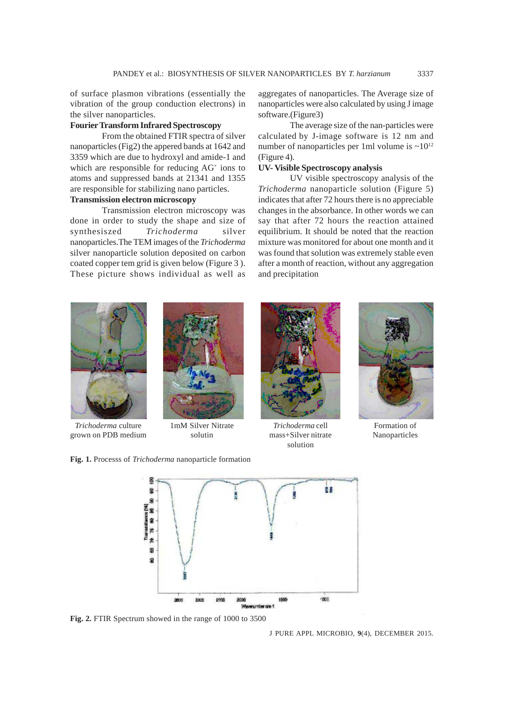of surface plasmon vibrations (essentially the vibration of the group conduction electrons) in the silver nanoparticles.

# **Fourier Transform Infrared Spectroscopy**

From the obtained FTIR spectra of silver nanoparticles (Fig2) the appered bands at 1642 and 3359 which are due to hydroxyl and amide-1 and which are responsible for reducing AG<sup>+</sup> ions to atoms and suppressed bands at 21341 and 1355 are responsible for stabilizing nano particles.

# **Transmission electron microscopy**

Transmission electron microscopy was done in order to study the shape and size of synthesiszed *Trichoderma* silver nanoparticles.The TEM images of the *Trichoderma* silver nanoparticle solution deposited on carbon coated copper tem grid is given below (Figure 3 ). These picture shows individual as well as aggregates of nanoparticles. The Average size of nanoparticles were also calculated by using J image software.(Figure3)

The average size of the nan-particles were calculated by J-image software is 12 nm and number of nanoparticles per 1ml volume is  $\sim 10^{12}$ (Figure 4).

#### **UV- Visible Spectroscopy analysis**

UV visible spectroscopy analysis of the *Trichoderma* nanoparticle solution (Figure 5) indicates that after 72 hours there is no appreciable changes in the absorbance. In other words we can say that after 72 hours the reaction attained equilibrium. It should be noted that the reaction mixture was monitored for about one month and it was found that solution was extremely stable even after a month of reaction, without any aggregation and precipitation



*Trichoderma* culture grown on PDB medium



1mM Silver Nitrate solutin



*Trichoderma* cell mass+Silver nitrate solution



Formation of Nanoparticles



**Fig. 2.** FTIR Spectrum showed in the range of 1000 to 3500

**Fig. 1.** Processs of *Trichoderma* nanoparticle formation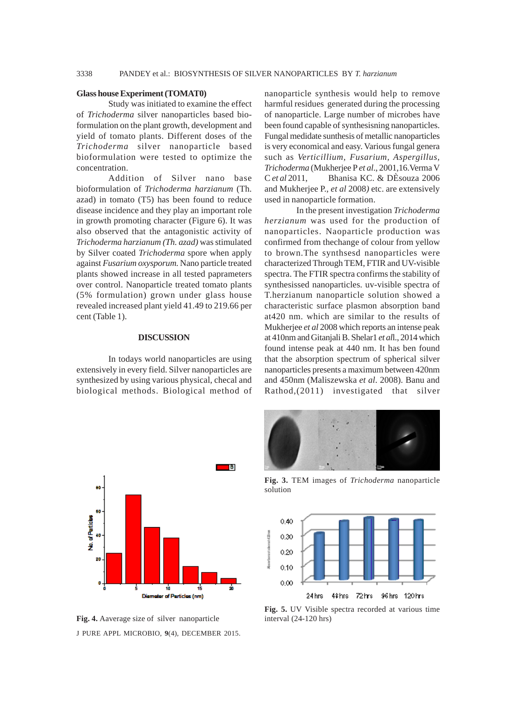#### **Glass house Experiment (TOMAT0)**

Study was initiated to examine the effect of *Trichoderma* silver nanoparticles based bioformulation on the plant growth, development and yield of tomato plants. Different doses of the *Trichoderma* silver nanoparticle based bioformulation were tested to optimize the concentration.

Addition of Silver nano base bioformulation of *Trichoderma harzianum* (Th. azad) in tomato (T5) has been found to reduce disease incidence and they play an important role in growth promoting character (Figure 6). It was also observed that the antagonistic activity of *Trichoderma harzianum (Th. azad)* was stimulated by Silver coated *Trichoderma* spore when apply against *Fusarium oxysporum.* Nano particle treated plants showed increase in all tested paprameters over control. Nanoparticle treated tomato plants (5% formulation) grown under glass house revealed increased plant yield 41.49 to 219.66 per cent (Table 1).

## **DISCUSSION**

In todays world nanoparticles are using extensively in every field. Silver nanoparticles are synthesized by using various physical, checal and biological methods. Biological method of

nanoparticle synthesis would help to remove harmful residues generated during the processing of nanoparticle. Large number of microbes have been found capable of synthesisning nanoparticles. Fungal medidate sunthesis of metallic nanoparticles is very economical and easy. Various fungal genera such as *Verticillium, Fusarium, Aspergillus, Trichoderma* (Mukherjee P *et al*., 2001,16.Verma V C *et al* 2011, Bhanisa KC. & DÈsouza 2006 and Mukherjee P., *et al* 2008*)* etc. are extensively used in nanoparticle formation.

In the present investigation *Trichoderma herzianum* was used for the production of nanoparticles. Naoparticle production was confirmed from thechange of colour from yellow to brown.The synthsesd nanoparticles were characterized Through TEM, FTIR and UV-visible spectra. The FTIR spectra confirms the stability of synthesissed nanoparticles. uv-visible spectra of T.herzianum nanoparticle solution showed a characteristic surface plasmon absorption band at420 nm. which are similar to the results of Mukherjee *et al* 2008 which reports an intense peak at 410nm and Gitanjali B. Shelar1 *et al*l., 2014 which found intense peak at 440 nm. It has ben found that the absorption spectrum of spherical silver nanoparticles presents a maximum between 420nm and 450nm (Maliszewska *et al*. 2008). Banu and Rathod,(2011) investigated that silver





**Fig. 3.** TEM images of *Trichoderma* nanoparticle solution



**Fig. 5.** UV Visible spectra recorded at various time interval (24-120 hrs)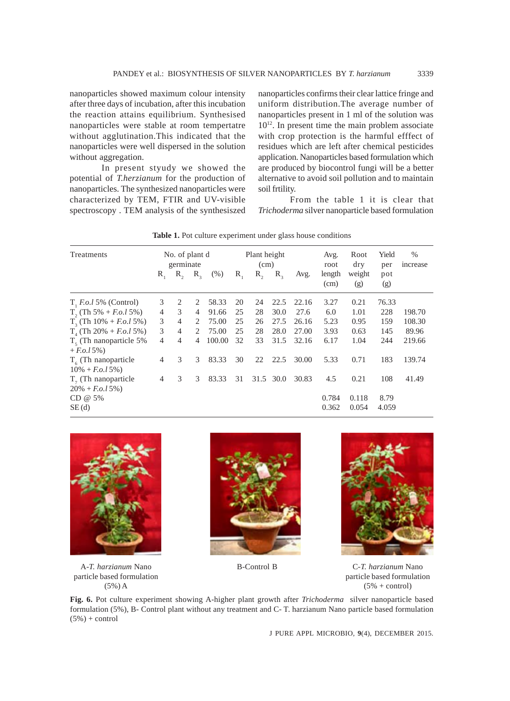nanoparticles showed maximum colour intensity after three days of incubation, after this incubation the reaction attains equilibrium. Synthesised nanoparticles were stable at room tempertatre without agglutination.This indicated that the nanoparticles were well dispersed in the solution without aggregation.

In present styudy we showed the potential of *T.herzianum* for the production of nanoparticles. The synthesized nanoparticles were characterized by TEM, FTIR and UV-visible spectroscopy . TEM analysis of the synthesiszed nanoparticles confirms their clear lattice fringe and uniform distribution.The average number of nanoparticles present in 1 ml of the solution was 1012. In present time the main problem associate with crop protection is the harmful efffect of residues which are left after chemical pesticides application. Nanoparticles based formulation which are produced by biocontrol fungi will be a better alternative to avoid soil pollution and to maintain soil frtility.

From the table 1 it is clear that *Trichoderma* silver nanoparticle based formulation

| Treatments                                            | No. of plant d<br>germinate |                |                               |        | Plant height<br>(cm) |      |              |       | Avg.<br>root   | Root<br>dry   | Yield<br>per | $\%$<br><i>ncrease</i> |
|-------------------------------------------------------|-----------------------------|----------------|-------------------------------|--------|----------------------|------|--------------|-------|----------------|---------------|--------------|------------------------|
|                                                       | $R_{1}$                     | $R_{\alpha}$   | $R_{\gamma}$                  | (% )   | $R_{1}$              | R,   | $R_{\gamma}$ | Avg.  | length<br>(cm) | weight<br>(g) | pot<br>(g)   |                        |
| $T$ , <i>F.o.l</i> 5% (Control)                       | 3                           | 2              | 2                             | 58.33  | 20                   | 24   | 22.5         | 22.16 | 3.27           | 0.21          | 76.33        |                        |
| $T_2$ (Th 5% + <i>F.o.l</i> 5%)                       | $\overline{4}$              | 3              | 4                             | 91.66  | 25                   | 28   | 30.0         | 27.6  | 6.0            | 1.01          | 228          | 198.70                 |
| $T_3$ (Th 10% + <i>F.o.l</i> 5%)                      | 3                           | $\overline{4}$ | 2                             | 75.00  | 25                   | 26   | 27.5         | 26.16 | 5.23           | 0.95          | 159          | 108.30                 |
| $T_{4}$ (Th 20% + <i>F.o.l</i> 5%)                    | 3                           | $\overline{4}$ | $\mathfrak{D}_{\mathfrak{p}}$ | 75.00  | 25                   | 28   | 28.0         | 27.00 | 3.93           | 0.63          | 145          | 89.96                  |
| $Ts$ (Th nanoparticle 5%)<br>$+ F. o. l 5\%)$         | 4                           | $\overline{4}$ | 4                             | 100.00 | 32                   | 33   | 31.5         | 32.16 | 6.17           | 1.04          | 244          | 219.66                 |
| $T_{\epsilon}$ (Th nanoparticle<br>$10\% + F.o.15\%)$ | $\overline{4}$              | 3              | 3                             | 83.33  | 30                   | 22   | 22.5         | 30.00 | 5.33           | 0.71          | 183          | 139.74                 |
| $T7$ (Th nanoparticle<br>$20\% + F.o.15\%)$           | $\overline{4}$              | 3              | 3                             | 83.33  | 31                   | 31.5 | 30.0         | 30.83 | 4.5            | 0.21          | 108          | 41.49                  |
| $CD @ 5\%$                                            |                             |                |                               |        |                      |      |              |       | 0.784          | 0.118         | 8.79         |                        |
| SE(d)                                                 |                             |                |                               |        |                      |      |              |       | 0.362          | 0.054         | 4.059        |                        |

Table 1. Pot culture experiment under glass house conditions



A-*T. harzianum* Nano particle based formulation (5%) A





B-Control B C-*T. harzianum* Nano particle based formulation  $(5% + control)$ 

**Fig. 6.** Pot culture experiment showing A-higher plant growth after *Trichoderma* silver nanoparticle based formulation (5%), B- Control plant without any treatment and C- T. harzianum Nano particle based formulation  $(5\%) + control$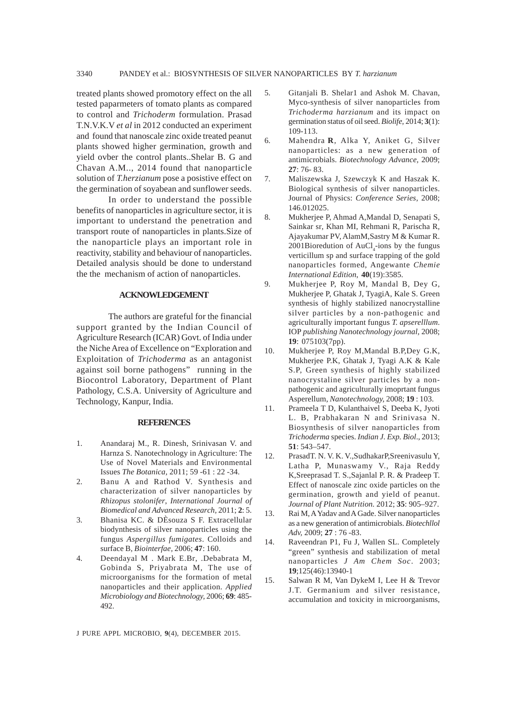treated plants showed promotory effect on the all tested paparmeters of tomato plants as compared to control and *Trichoderm* formulation. Prasad T.N.V.K.V *et al* in 2012 conducted an experiment and found that nanoscale zinc oxide treated peanut plants showed higher germination, growth and yield ovber the control plants..Shelar B. G and Chavan A.M.., 2014 found that nanoparticle solution of *T.herzianum* pose a posistive effect on the germination of soyabean and sunflower seeds.

In order to understand the possible benefits of nanoparticles in agriculture sector, it is important to understand the penetration and transport route of nanoparticles in plants.Size of the nanoparticle plays an important role in reactivity, stability and behaviour of nanoparticles. Detailed analysis should be done to understand the the mechanism of action of nanoparticles.

#### **ACKNOWLEDGEMENT**

The authors are grateful for the financial support granted by the Indian Council of Agriculture Research (ICAR) Govt. of India under the Niche Area of Excellence on "Exploration and Exploitation of *Trichoderma* as an antagonist against soil borne pathogens" running in the Biocontrol Laboratory, Department of Plant Pathology, C.S.A. University of Agriculture and Technology, Kanpur, India.

## **REFERENCES**

- 1. Anandaraj M., R. Dinesh, Srinivasan V. and Harnza S. Nanotechnology in Agriculture: The Use of Novel Materials and Environmental Issues *The Botanica,* 2011; 59 -61 : 22 -34.
- 2. Banu A and Rathod V. Synthesis and characterization of silver nanoparticles by *Rhizopus stolonifer*, *International Journal of Biomedical and Advanced Research,* 2011; **2**: 5.
- 3. Bhanisa KC. & DÈsouza S F. Extracellular biodynthesis of silver nanoparticles using the fungus *Aspergillus fumigates*. Colloids and surface B, *Biointerfae,* 2006; **47**: 160.
- 4. Deendayal M . Mark E.Br, .Debabrata M, Gobinda S, Priyabrata M, The use of microorganisms for the formation of metal nanoparticles and their application. *Applied Microbiology and Biotechnology,* 2006; **69**: 485- 492.
- 5. Gitanjali B. Shelar1 and Ashok M. Chavan, Myco-synthesis of silver nanoparticles from *Trichoderma harzianum* and its impact on germination status of oil seed. *Biolife,* 2014; **3**(1): 109-113.
- 6. Mahendra **R**, Alka Y, Aniket G, Silver nanoparticles: as a new generation of antimicrobials. *Biotechnology Advance,* 2009; **27**: 76- 83.
- 7. Maliszewska J, Szewczyk K and Haszak K. Biological synthesis of silver nanoparticles. Journal of Physics: *Conference Series,* 2008; 146.012025.
- 8. Mukherjee P, Ahmad A,Mandal D, Senapati S, Sainkar sr, Khan MI, Rehmani R, Parischa R, Ajayakumar PV, AlamM,Sastry M & Kumar R.  $2001$ Bioredution of AuCl<sub>4</sub>-ions by the fungus verticillum sp and surface trapping of the gold nanoparticles formed, Angewante *Chemie International Edition*, **40**(19):3585.
- 9. Mukherjee P, Roy M, Mandal B, Dey G, Mukherjee P, Ghatak J, TyagiA, Kale S. Green synthesis of highly stabilized nanocrystalline silver particles by a non-pathogenic and agriculturally important fungus *T. apserelllum*. IOP *publishing Nanotechnology journal,* 2008; **19**: 075103(7pp).
- 10. Mukherjee P, Roy M,Mandal B.P,Dey G.K, Mukherjee P.K, Ghatak J, Tyagi A.K & Kale S.P, Green synthesis of highly stabilized nanocrystaline silver particles by a nonpathogenic and agriculturally imoprtant fungus Asperellum, *Nanotechnology,* 2008; **19** : 103.
- 11. Prameela T D, Kulanthaivel S, Deeba K, Jyoti L. B, Prabhakaran N and Srinivasa N. Biosynthesis of silver nanoparticles from *Trichoderma* species. *Indian J. Exp. Biol*., 2013; **51**: 543–547.
- 12. PrasadT. N. V. K. V.,SudhakarP,Sreenivasulu Y, Latha P, Munaswamy V., Raja Reddy K,Sreeprasad T. S.,Sajanlal P. R. & Pradeep T. Effect of nanoscale zinc oxide particles on the germination, growth and yield of peanut. *Journal of Plant Nutrition.* 2012; **35**: 905–927.
- 13. Rai M, A Yadav and A Gade. Silver nanoparticles as a new generation of antimicrobials. *Biotechllol Adv,* 2009; **27** : 76 -83.
- 14. Raveendran P1, Fu J, Wallen SL. Completely "green" synthesis and stabilization of metal nanoparticles *J Am Chem Soc*. 2003; **19**;125(46):13940-1
- 15. Salwan R M, Van DykeM I, Lee H & Trevor J.T. Germanium and silver resistance, accumulation and toxicity in microorganisms,